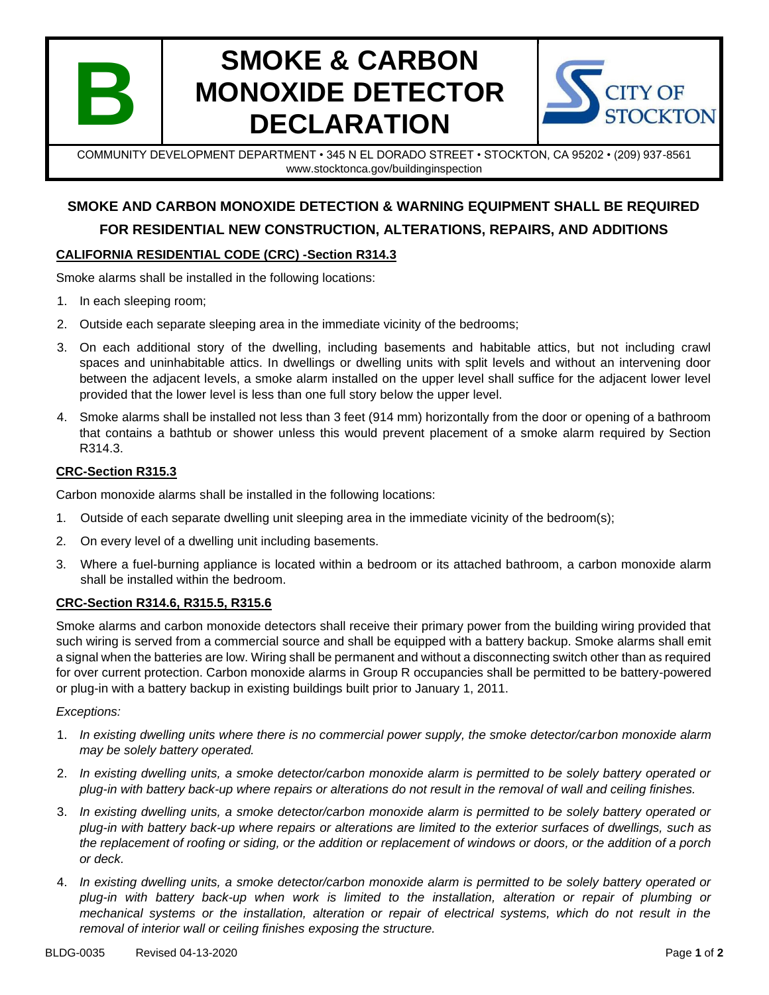

# **SMOKE & CARBON MONOXIDE DETECTOR DECLARATION**



COMMUNITY DEVELOPMENT DEPARTMENT • 345 N EL DORADO STREET • STOCKTON, CA 95202 • (209) 937-8561 www.stocktonca.gov/buildinginspection

### **SMOKE AND CARBON MONOXIDE DETECTION & WARNING EQUIPMENT SHALL BE REQUIRED FOR RESIDENTIAL NEW CONSTRUCTION, ALTERATIONS, REPAIRS, AND ADDITIONS**

#### **CALIFORNIA RESIDENTIAL CODE (CRC) -Section R314.3**

Smoke alarms shall be installed in the following locations:

- 1. In each sleeping room;
- 2. Outside each separate sleeping area in the immediate vicinity of the bedrooms;
- 3. On each additional story of the dwelling, including basements and habitable attics, but not including crawl spaces and uninhabitable attics. In dwellings or dwelling units with split levels and without an intervening door between the adjacent levels, a smoke alarm installed on the upper level shall suffice for the adjacent lower level provided that the lower level is less than one full story below the upper level.
- 4. Smoke alarms shall be installed not less than 3 feet (914 mm) horizontally from the door or opening of a bathroom that contains a bathtub or shower unless this would prevent placement of a smoke alarm required by Section R314.3.

#### **CRC-Section R315.3**

Carbon monoxide alarms shall be installed in the following locations:

- 1. Outside of each separate dwelling unit sleeping area in the immediate vicinity of the bedroom(s);
- 2. On every level of a dwelling unit including basements.
- 3. Where a fuel-burning appliance is located within a bedroom or its attached bathroom, a carbon monoxide alarm shall be installed within the bedroom.

#### **CRC-Section R314.6, R315.5, R315.6**

Smoke alarms and carbon monoxide detectors shall receive their primary power from the building wiring provided that such wiring is served from a commercial source and shall be equipped with a battery backup. Smoke alarms shall emit a signal when the batteries are low. Wiring shall be permanent and without a disconnecting switch other than as required for over current protection. Carbon monoxide alarms in Group R occupancies shall be permitted to be battery-powered or plug-in with a battery backup in existing buildings built prior to January 1, 2011.

#### *Exceptions:*

- 1. *In existing dwelling units where there is no commercial power supply, the smoke detector/carbon monoxide alarm may be solely battery operated.*
- 2. *In existing dwelling units, a smoke detector/carbon monoxide alarm is permitted to be solely battery operated or plug-in with battery back-up where repairs or alterations do not result in the removal of wall and ceiling finishes.*
- 3. *In existing dwelling units, a smoke detector/carbon monoxide alarm is permitted to be solely battery operated or plug-in with battery back-up where repairs or alterations are limited to the exterior surfaces of dwellings, such as the replacement of roofing or siding, or the addition or replacement of windows or doors, or the addition of a porch or deck.*
- 4. *In existing dwelling units, a smoke detector/carbon monoxide alarm is permitted to be solely battery operated or plug-in with battery back-up when work is limited to the installation, alteration or repair of plumbing or mechanical systems or the installation, alteration or repair of electrical systems, which do not result in the removal of interior wall or ceiling finishes exposing the structure.*